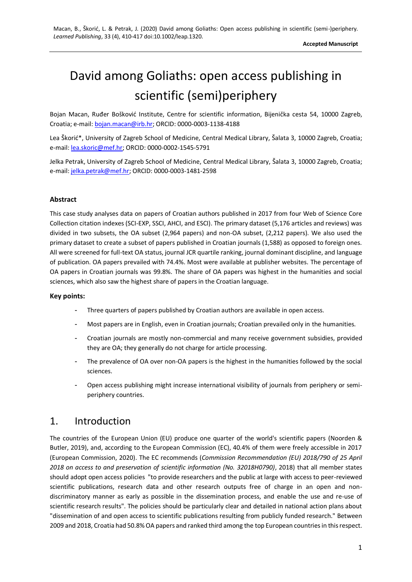# David among Goliaths: open access publishing in scientific (semi)periphery

Bojan Macan, Ruđer Bošković Institute, Centre for scientific information, Bijenička cesta 54, 10000 Zagreb, Croatia; e-mail[: bojan.macan@irb.hr;](mailto:bojan.macan@irb.hr) ORCID: 0000-0003-1138-4188

Lea Škorić\*, University of Zagreb School of Medicine, Central Medical Library, Šalata 3, 10000 Zagreb, Croatia; e-mail[: lea.skoric@mef.hr;](mailto:lea.skoric@mef.hr) ORCID: 0000-0002-1545-5791

Jelka Petrak, University of Zagreb School of Medicine, Central Medical Library, Šalata 3, 10000 Zagreb, Croatia; e-mail[: jelka.petrak@mef.hr;](mailto:jelka.petrak@mef.hr) ORCID: 0000-0003-1481-2598

#### **Abstract**

This case study analyses data on papers of Croatian authors published in 2017 from four Web of Science Core Collection citation indexes (SCI-EXP, SSCI, AHCI, and ESCI). The primary dataset (5,176 articles and reviews) was divided in two subsets, the OA subset (2,964 papers) and non-OA subset, (2,212 papers). We also used the primary dataset to create a subset of papers published in Croatian journals (1,588) as opposed to foreign ones. All were screened for full-text OA status, journal JCR quartile ranking, journal dominant discipline, and language of publication. OA papers prevailed with 74.4%. Most were available at publisher websites. The percentage of OA papers in Croatian journals was 99.8%. The share of OA papers was highest in the humanities and social sciences, which also saw the highest share of papers in the Croatian language.

#### **Key points:**

- Three quarters of papers published by Croatian authors are available in open access.
- Most papers are in English, even in Croatian journals; Croatian prevailed only in the humanities.
- Croatian journals are mostly non-commercial and many receive government subsidies, provided they are OA; they generally do not charge for article processing.
- The prevalence of OA over non-OA papers is the highest in the humanities followed by the social sciences.
- Open access publishing might increase international visibility of journals from periphery or semiperiphery countries.

## 1. Introduction

The countries of the European Union (EU) produce one quarter of the world's scientific papers (Noorden & Butler, 2019), and, according to the European Commission (EC), 40.4% of them were freely accessible in 2017 (European Commission, 2020). The EC recommends (*Commission Recommendation (EU) 2018/790 of 25 April 2018 on access to and preservation of scientific information (No. 32018H0790)*, 2018) that all member states should adopt open access policies "to provide researchers and the public at large with access to peer-reviewed scientific publications, research data and other research outputs free of charge in an open and nondiscriminatory manner as early as possible in the dissemination process, and enable the use and re-use of scientific research results". The policies should be particularly clear and detailed in national action plans about "dissemination of and open access to scientific publications resulting from publicly funded research." Between 2009 and 2018, Croatia had 50.8% OA papers and ranked third among the top European countries in this respect.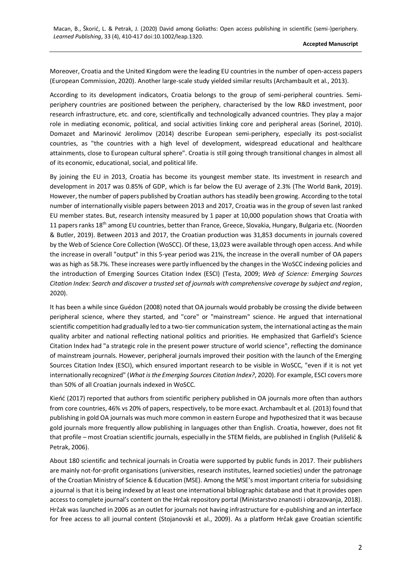Moreover, Croatia and the United Kingdom were the leading EU countries in the number of open-access papers (European Commission, 2020). Another large-scale study yielded similar results (Archambault et al., 2013).

According to its development indicators, Croatia belongs to the group of semi-peripheral countries. Semiperiphery countries are positioned between the periphery, characterised by the low R&D investment, poor research infrastructure, etc. and core, scientifically and technologically advanced countries. They play a major role in mediating economic, political, and social activities linking core and peripheral areas (Sorinel, 2010). Domazet and Marinović Jerolimov (2014) describe European semi-periphery, especially its post-socialist countries, as "the countries with a high level of development, widespread educational and healthcare attainments, close to European cultural sphere". Croatia is still going through transitional changes in almost all of its economic, educational, social, and political life.

By joining the EU in 2013, Croatia has become its youngest member state. Its investment in research and development in 2017 was 0.85% of GDP, which is far below the EU average of 2.3% (The World Bank, 2019). However, the number of papers published by Croatian authors has steadily been growing. According to the total number of internationally visible papers between 2013 and 2017, Croatia was in the group of seven last ranked EU member states. But, research intensity measured by 1 paper at 10,000 population shows that Croatia with 11 papers ranks 18<sup>th</sup> among EU countries, better than France, Greece, Slovakia, Hungary, Bulgaria etc. (Noorden & Butler, 2019). Between 2013 and 2017, the Croatian production was 31,853 documents in journals covered by the Web of Science Core Collection (WoSCC). Of these, 13,023 were available through open access. And while the increase in overall "output" in this 5-year period was 21%, the increase in the overall number of OA papers was as high as 58.7%. These increases were partly influenced by the changes in the WoSCC indexing policies and the introduction of Emerging Sources Citation Index (ESCI) (Testa, 2009; *Web of Science: Emerging Sources Citation Index: Search and discover a trusted set of journals with comprehensive coverage by subject and region*, 2020).

It has been a while since Guédon (2008) noted that OA journals would probably be crossing the divide between peripheral science, where they started, and "core" or "mainstream" science. He argued that international scientific competition had gradually led to a two-tier communication system, the international acting as the main quality arbiter and national reflecting national politics and priorities. He emphasized that Garfield's Science Citation Index had "a strategic role in the present power structure of world science", reflecting the dominance of mainstream journals. However, peripheral journals improved their position with the launch of the Emerging Sources Citation Index (ESCI), which ensured important research to be visible in WoSCC, "even if it is not yet internationally recognized" (*What is the Emerging Sources Citation Index?*, 2020). For example, ESCI covers more than 50% of all Croatian journals indexed in WoSCC.

Kieńć (2017) reported that authors from scientific periphery published in OA journals more often than authors from core countries, 46% vs 20% of papers, respectively, to be more exact. Archambault et al. (2013) found that publishing in gold OA journals was much more common in eastern Europe and hypothesized that it was because gold journals more frequently allow publishing in languages other than English. Croatia, however, does not fit that profile – most Croatian scientific journals, especially in the STEM fields, are published in English (Pulišelić & Petrak, 2006).

About 180 scientific and technical journals in Croatia were supported by public funds in 2017. Their publishers are mainly not-for-profit organisations (universities, research institutes, learned societies) under the patronage of the Croatian Ministry of Science & Education (MSE). Among the MSE's most important criteria for subsidising a journal is that it is being indexed by at least one international bibliographic database and that it provides open access to complete journal's content on the Hrčak repository portal (Ministarstvo znanosti i obrazovanja, 2018). Hrčak was launched in 2006 as an outlet for journals not having infrastructure for e-publishing and an interface for free access to all journal content (Stojanovski et al., 2009). As a platform Hrčak gave Croatian scientific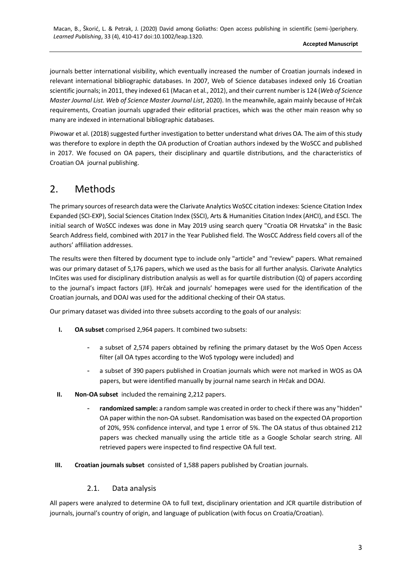journals better international visibility, which eventually increased the number of Croatian journals indexed in relevant international bibliographic databases. In 2007, Web of Science databases indexed only 16 Croatian scientific journals; in 2011, they indexed 61 (Macan et al., 2012), and their current number is 124 (*Web of Science Master Journal List. Web of Science Master Journal List*, 2020). In the meanwhile, again mainly because of Hrčak requirements, Croatian journals upgraded their editorial practices, which was the other main reason why so many are indexed in international bibliographic databases.

Piwowar et al. (2018) suggested further investigation to better understand what drives OA. The aim of this study was therefore to explore in depth the OA production of Croatian authors indexed by the WoSCC and published in 2017. We focused on OA papers, their disciplinary and quartile distributions, and the characteristics of Croatian OA journal publishing.

# 2. Methods

The primary sources of research data were the Clarivate Analytics WoSCC citation indexes: Science Citation Index Expanded (SCI-EXP), Social Sciences Citation Index (SSCI), Arts & Humanities Citation Index (AHCI), and ESCI. The initial search of WoSCC indexes was done in May 2019 using search query "Croatia OR Hrvatska" in the Basic Search Address field, combined with 2017 in the Year Published field. The WosCC Address field covers all of the authors' affiliation addresses.

The results were then filtered by document type to include only "article" and "review" papers. What remained was our primary dataset of 5,176 papers, which we used as the basis for all further analysis. Clarivate Analytics InCites was used for disciplinary distribution analysis as well as for quartile distribution (Q) of papers according to the journal's impact factors (JIF). Hrčak and journals' homepages were used for the identification of the Croatian journals, and DOAJ was used for the additional checking of their OA status.

Our primary dataset was divided into three subsets according to the goals of our analysis:

- **I. OA subset** comprised 2,964 papers. It combined two subsets:
	- a subset of 2,574 papers obtained by refining the primary dataset by the WoS Open Access filter (all OA types according to the WoS typology were included) and
	- a subset of 390 papers published in Croatian journals which were not marked in WOS as OA papers, but were identified manually by journal name search in Hrčak and DOAJ.
- **II. Non-OA subset** included the remaining 2,212 papers.
	- randomized sample: a random sample was created in order to check if there was any "hidden" OA paper within the non-OA subset. Randomisation was based on the expected OA proportion of 20%, 95% confidence interval, and type 1 error of 5%. The OA status of thus obtained 212 papers was checked manually using the article title as a Google Scholar search string. All retrieved papers were inspected to find respective OA full text.
- **III. Croatian journals subset** consisted of 1,588 papers published by Croatian journals.

#### 2.1. Data analysis

All papers were analyzed to determine OA to full text, disciplinary orientation and JCR quartile distribution of journals, journal's country of origin, and language of publication (with focus on Croatia/Croatian).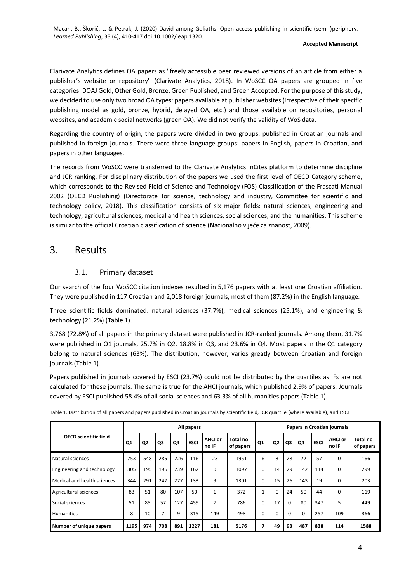Clarivate Analytics defines OA papers as "freely accessible peer reviewed versions of an article from either a publisher's website or repository" (Clarivate Analytics, 2018). In WoSCC OA papers are grouped in five categories: DOAJ Gold, Other Gold, Bronze, Green Published, and Green Accepted. For the purpose of this study, we decided to use only two broad OA types: papers available at publisher websites (irrespective of their specific publishing model as gold, bronze, hybrid, delayed OA, etc.) and those available on repositories, personal websites, and academic social networks (green OA). We did not verify the validity of WoS data.

Regarding the country of origin, the papers were divided in two groups: published in Croatian journals and published in foreign journals. There were three language groups: papers in English, papers in Croatian, and papers in other languages.

The records from WoSCC were transferred to the Clarivate Analytics InCites platform to determine discipline and JCR ranking. For disciplinary distribution of the papers we used the first level of OECD Category scheme, which corresponds to the Revised Field of Science and Technology (FOS) Classification of the Frascati Manual 2002 (OECD Publishing) (Directorate for science, technology and industry, Committee for scientific and technology policy, 2018). This classification consists of six major fields: natural sciences, engineering and technology, agricultural sciences, medical and health sciences, social sciences, and the humanities. This scheme is similar to the official Croatian classification of science (Nacionalno vijeće za znanost, 2009).

### 3. Results

#### 3.1. Primary dataset

Our search of the four WoSCC citation indexes resulted in 5,176 papers with at least one Croatian affiliation. They were published in 117 Croatian and 2,018 foreign journals, most of them (87.2%) in the English language.

Three scientific fields dominated: natural sciences (37.7%), medical sciences (25.1%), and engineering & technology (21.2%) (Table 1).

3,768 (72.8%) of all papers in the primary dataset were published in JCR-ranked journals. Among them, 31.7% were published in Q1 journals, 25.7% in Q2, 18.8% in Q3, and 23.6% in Q4. Most papers in the Q1 category belong to natural sciences (63%). The distribution, however, varies greatly between Croatian and foreign journals (Table 1).

Papers published in journals covered by ESCI (23.7%) could not be distributed by the quartiles as IFs are not calculated for these journals. The same is true for the AHCI journals, which published 2.9% of papers. Journals covered by ESCI published 58.4% of all social sciences and 63.3% of all humanities papers (Table 1).

| <b>OECD scientific field</b> | All papers |     |                |     |             |                         |                       | <b>Papers in Croatian journals</b> |                |          |          |             |                         |                       |
|------------------------------|------------|-----|----------------|-----|-------------|-------------------------|-----------------------|------------------------------------|----------------|----------|----------|-------------|-------------------------|-----------------------|
|                              | Q1         | Q2  | Q3             | Q4  | <b>ESCI</b> | <b>AHCI or</b><br>no IF | Total no<br>of papers | Q1                                 | Q <sub>2</sub> | Q3       | Q4       | <b>ESCI</b> | <b>AHCI or</b><br>no IF | Total no<br>of papers |
| Natural sciences             | 753        | 548 | 285            | 226 | 116         | 23                      | 1951                  | 6                                  | 3              | 28       | 72       | 57          | 0                       | 166                   |
| Engineering and technology   | 305        | 195 | 196            | 239 | 162         | $\Omega$                | 1097                  | $\Omega$                           | 14             | 29       | 142      | 114         | 0                       | 299                   |
| Medical and health sciences  | 344        | 291 | 247            | 277 | 133         | 9                       | 1301                  | $\Omega$                           | 15             | 26       | 143      | 19          | 0                       | 203                   |
| Agricultural sciences        | 83         | 51  | 80             | 107 | 50          | $\mathbf{1}$            | 372                   | ┸                                  | $\Omega$       | 24       | 50       | 44          | $\mathbf 0$             | 119                   |
| Social sciences              | 51         | 85  | 57             | 127 | 459         | 7                       | 786                   | $\Omega$                           | 17             | $\Omega$ | 80       | 347         | 5                       | 449                   |
| <b>Humanities</b>            | 8          | 10  | $\overline{7}$ | 9   | 315         | 149                     | 498                   | 0                                  | 0              | $\Omega$ | $\Omega$ | 257         | 109                     | 366                   |
| Number of unique papers      | 1195       | 974 | 708            | 891 | 1227        | 181                     | 5176                  |                                    | 49             | 93       | 487      | 838         | 114                     | 1588                  |

Table 1. Distribution of all papers and papers published in Croatian journals by scientific field, JCR quartile (where available), and ESCI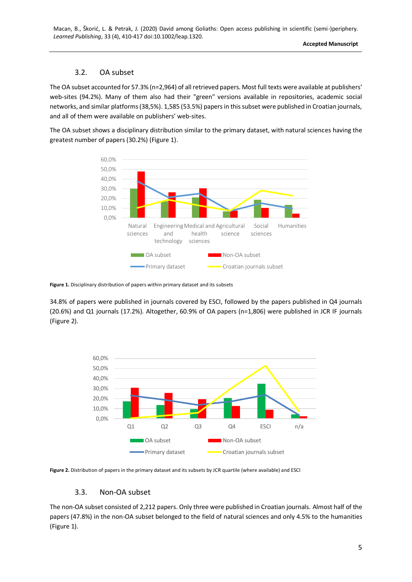**Accepted Manuscript**

#### 3.2. OA subset

The OA subset accounted for 57.3% (n=2,964) of all retrieved papers. Most full texts were available at publishers' web-sites (94.2%). Many of them also had their "green" versions available in repositories, academic social networks, and similar platforms (38,5%). 1,585 (53.5%) papers in this subset were published in Croatian journals, and all of them were available on publishers' web-sites.

The OA subset shows a disciplinary distribution similar to the primary dataset, with natural sciences having the greatest number of papers (30.2%) (Figure 1).



**Figure 1.** Disciplinary distribution of papers within primary dataset and its subsets

34.8% of papers were published in journals covered by ESCI, followed by the papers published in Q4 journals (20.6%) and Q1 journals (17.2%). Altogether, 60.9% of OA papers (n=1,806) were published in JCR IF journals (Figure 2).



**Figure 2.** Distribution of papers in the primary dataset and its subsets by JCR quartile (where available) and ESCI

#### 3.3. Non-OA subset

The non-OA subset consisted of 2,212 papers. Only three were published in Croatian journals. Almost half of the papers (47.8%) in the non-OA subset belonged to the field of natural sciences and only 4.5% to the humanities (Figure 1).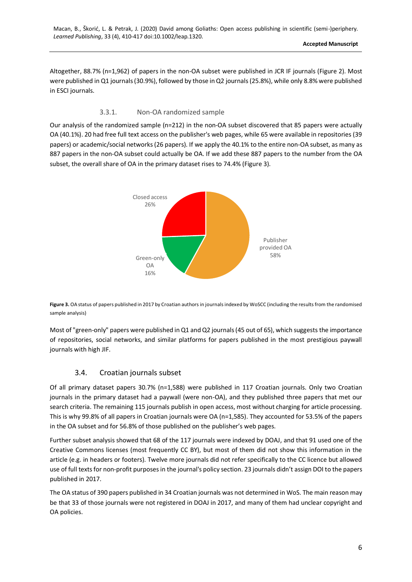Altogether, 88.7% (n=1,962) of papers in the non-OA subset were published in JCR IF journals (Figure 2). Most were published in Q1 journals (30.9%), followed by those in Q2 journals (25.8%), while only 8.8% were published in ESCI journals.

#### 3.3.1. Non-OA randomized sample

Our analysis of the randomized sample (n=212) in the non-OA subset discovered that 85 papers were actually OA (40.1%). 20 had free full text access on the publisher's web pages, while 65 were available in repositories (39 papers) or academic/social networks (26 papers). If we apply the 40.1% to the entire non-OA subset, as many as 887 papers in the non-OA subset could actually be OA. If we add these 887 papers to the number from the OA subset, the overall share of OA in the primary dataset rises to 74.4% (Figure 3).



**Figure 3.** OA status of papers published in 2017 by Croatian authors in journals indexed by WoSCC (including the results from the randomised sample analysis)

Most of "green-only" papers were published in Q1 and Q2 journals (45 out of 65), which suggests the importance of repositories, social networks, and similar platforms for papers published in the most prestigious paywall journals with high JIF.

#### 3.4. Croatian journals subset

Of all primary dataset papers 30.7% (n=1,588) were published in 117 Croatian journals. Only two Croatian journals in the primary dataset had a paywall (were non-OA), and they published three papers that met our search criteria. The remaining 115 journals publish in open access, most without charging for article processing. This is why 99.8% of all papers in Croatian journals were OA (n=1,585). They accounted for 53.5% of the papers in the OA subset and for 56.8% of those published on the publisher's web pages.

Further subset analysis showed that 68 of the 117 journals were indexed by DOAJ, and that 91 used one of the Creative Commons licenses (most frequently CC BY), but most of them did not show this information in the article (e.g. in headers or footers). Twelve more journals did not refer specifically to the CC licence but allowed use of full texts for non-profit purposes in the journal's policy section. 23 journals didn't assign DOI to the papers published in 2017.

The OA status of 390 papers published in 34 Croatian journals was not determined in WoS. The main reason may be that 33 of those journals were not registered in DOAJ in 2017, and many of them had unclear copyright and OA policies.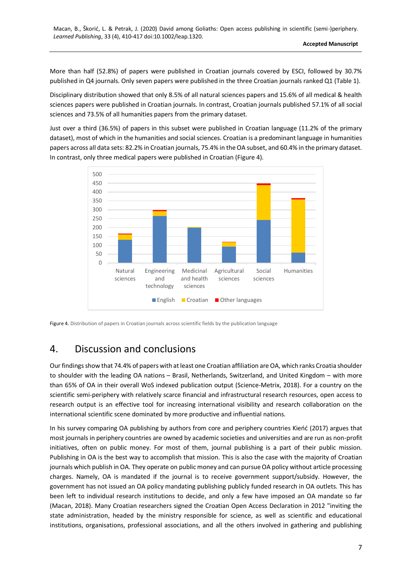More than half (52.8%) of papers were published in Croatian journals covered by ESCI, followed by 30.7% published in Q4 journals. Only seven papers were published in the three Croatian journals ranked Q1 (Table 1).

Disciplinary distribution showed that only 8.5% of all natural sciences papers and 15.6% of all medical & health sciences papers were published in Croatian journals. In contrast, Croatian journals published 57.1% of all social sciences and 73.5% of all humanities papers from the primary dataset.

Just over a third (36.5%) of papers in this subset were published in Croatian language (11.2% of the primary dataset), most of which in the humanities and social sciences. Croatian is a predominant language in humanities papers across all data sets: 82.2% in Croatian journals, 75.4% in the OA subset, and 60.4% in the primary dataset. In contrast, only three medical papers were published in Croatian (Figure 4).



Figure 4. Distribution of papers in Croatian journals across scientific fields by the publication language

# 4. Discussion and conclusions

Our findings show that 74.4% of papers with at least one Croatian affiliation are OA, which ranks Croatia shoulder to shoulder with the leading OA nations – Brasil, Netherlands, Switzerland, and United Kingdom – with more than 65% of OA in their overall WoS indexed publication output (Science-Metrix, 2018). For a country on the scientific semi-periphery with relatively scarce financial and infrastructural research resources, open access to research output is an effective tool for increasing international visibility and research collaboration on the international scientific scene dominated by more productive and influential nations.

In his survey comparing OA publishing by authors from core and periphery countries Kieńć (2017) argues that most journals in periphery countries are owned by academic societies and universities and are run as non-profit initiatives, often on public money. For most of them, journal publishing is a part of their public mission. Publishing in OA is the best way to accomplish that mission. This is also the case with the majority of Croatian journals which publish in OA. They operate on public money and can pursue OA policy without article processing charges. Namely, OA is mandated if the journal is to receive government support/subsidy. However, the government has not issued an OA policy mandating publishing publicly funded research in OA outlets. This has been left to individual research institutions to decide, and only a few have imposed an OA mandate so far (Macan, 2018). Many Croatian researchers signed the Croatian Open Access Declaration in 2012 "inviting the state administration, headed by the ministry responsible for science, as well as scientific and educational institutions, organisations, professional associations, and all the others involved in gathering and publishing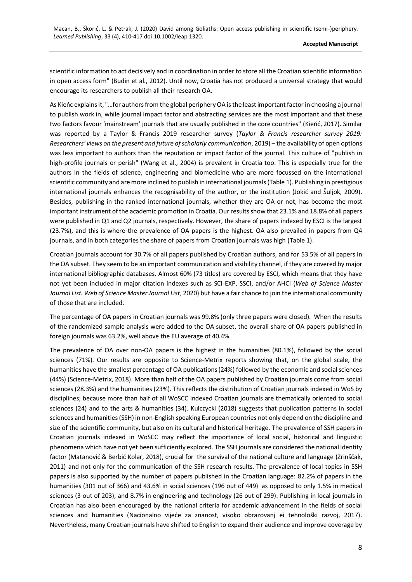scientific information to act decisively and in coordination in order to store all the Croatian scientific information in open access form" (Budin et al., 2012). Until now, Croatia has not produced a universal strategy that would encourage its researchers to publish all their research OA.

As Kieńc explains it, "…for authors from the global periphery OA is the least important factor in choosing a journal to publish work in, while journal impact factor and abstracting services are the most important and that these two factors favour 'mainstream' journals that are usually published in the core countries" (Kieńć, 2017). Similar was reported by a Taylor & Francis 2019 researcher survey (*Taylor & Francis researcher survey 2019: Researchers' views on the present and future of scholarly communication*, 2019) – the availability of open options was less important to authors than the reputation or impact factor of the journal. This culture of "publish in high-profile journals or perish" (Wang et al., 2004) is prevalent in Croatia too. This is especially true for the authors in the fields of science, engineering and biomedicine who are more focussed on the international scientific community and are more inclined to publish in international journals (Table 1). Publishing in prestigious international journals enhances the recognisability of the author, or the institution (Jokić and Šuljok, 2009). Besides, publishing in the ranked international journals, whether they are OA or not, has become the most important instrument of the academic promotion in Croatia. Our results show that 23.1% and 18.8% of all papers were published in Q1 and Q2 journals, respectively. However, the share of papers indexed by ESCI is the largest (23.7%), and this is where the prevalence of OA papers is the highest. OA also prevailed in papers from Q4 journals, and in both categories the share of papers from Croatian journals was high (Table 1).

Croatian journals account for 30.7% of all papers published by Croatian authors, and for 53.5% of all papers in the OA subset. They seem to be an important communication and visibility channel, if they are covered by major international bibliographic databases. Almost 60% (73 titles) are covered by ESCI, which means that they have not yet been included in major citation indexes such as SCI-EXP, SSCI, and/or AHCI (*Web of Science Master Journal List. Web of Science Master Journal List*, 2020) but have a fair chance to join the international community of those that are included.

The percentage of OA papers in Croatian journals was 99.8% (only three papers were closed). When the results of the randomized sample analysis were added to the OA subset, the overall share of OA papers published in foreign journals was 63.2%, well above the EU average of 40.4%.

The prevalence of OA over non-OA papers is the highest in the humanities (80.1%), followed by the social sciences (71%). Our results are opposite to Science-Metrix reports showing that, on the global scale, the humanities have the smallest percentage of OA publications (24%) followed by the economic and social sciences (44%) (Science-Metrix, 2018). More than half of the OA papers published by Croatian journals come from social sciences (28.3%) and the humanities (23%). This reflects the distribution of Croatian journals indexed in WoS by disciplines; because more than half of all WoSCC indexed Croatian journals are thematically oriented to social sciences (24) and to the arts & humanities (34). Kulczycki (2018) suggests that publication patterns in social sciences and humanities (SSH) in non-English speaking European countries not only depend on the discipline and size of the scientific community, but also on its cultural and historical heritage. The prevalence of SSH papers in Croatian journals indexed in WoSCC may reflect the importance of local social, historical and linguistic phenomena which have not yet been sufficiently explored. The SSH journals are considered the national identity factor (Matanović & Berbić Kolar, 2018), crucial for the survival of the national culture and language (Zrinščak, 2011) and not only for the communication of the SSH research results. The prevalence of local topics in SSH papers is also supported by the number of papers published in the Croatian language: 82.2% of papers in the humanities (301 out of 366) and 43.6% in social sciences (196 out of 449) as opposed to only 1.5% in medical sciences (3 out of 203), and 8.7% in engineering and technology (26 out of 299). Publishing in local journals in Croatian has also been encouraged by the national criteria for academic advancement in the fields of social sciences and humanities (Nacionalno vijeće za znanost, visoko obrazovanj ei tehnološki razvoj, 2017). Nevertheless, many Croatian journals have shifted to English to expand their audience and improve coverage by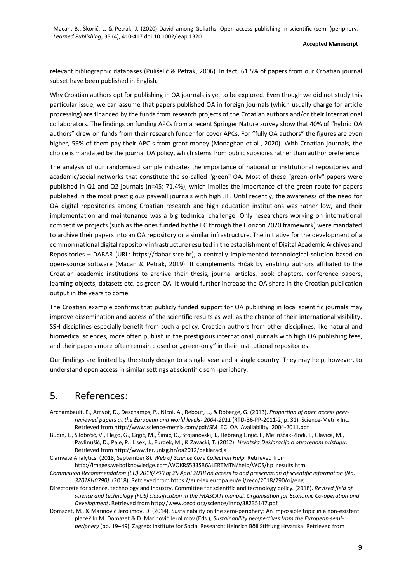relevant bibliographic databases (Pulišelić & Petrak, 2006). In fact, 61.5% of papers from our Croatian journal subset have been published in English.

Why Croatian authors opt for publishing in OA journals is yet to be explored. Even though we did not study this particular issue, we can assume that papers published OA in foreign journals (which usually charge for article processing) are financed by the funds from research projects of the Croatian authors and/or their international collaborators. The findings on funding APCs from a recent Springer Nature survey show that 40% of "hybrid OA authors" drew on funds from their research funder for cover APCs. For "fully OA authors" the figures are even higher, 59% of them pay their APC-s from grant money (Monaghan et al., 2020). With Croatian journals, the choice is mandated by the journal OA policy, which stems from public subsidies rather than author preference.

The analysis of our randomized sample indicates the importance of national or institutional repositories and academic/social networks that constitute the so-called "green" OA. Most of these "green-only" papers were published in Q1 and Q2 journals (n=45; 71.4%), which implies the importance of the green route for papers published in the most prestigious paywall journals with high JIF. Until recently, the awareness of the need for OA digital repositories among Croatian research and high education institutions was rather low, and their implementation and maintenance was a big technical challenge. Only researchers working on international competitive projects (such as the ones funded by the EC through the Horizon 2020 framework) were mandated to archive their papers into an OA repository or a similar infrastructure. The initiative for the development of a common national digital repository infrastructure resulted in the establishment of Digital Academic Archives and Repositories – DABAR (URL: https://dabar.srce.hr), a centrally implemented technological solution based on open-source software (Macan & Petrak, 2019). It complements Hrčak by enabling authors affiliated to the Croatian academic institutions to archive their thesis, journal articles, book chapters, conference papers, learning objects, datasets etc. as green OA. It would further increase the OA share in the Croatian publication output in the years to come.

The Croatian example confirms that publicly funded support for OA publishing in local scientific journals may improve dissemination and access of the scientific results as well as the chance of their international visibility. SSH disciplines especially benefit from such a policy. Croatian authors from other disciplines, like natural and biomedical sciences, more often publish in the prestigious international journals with high OA publishing fees, and their papers more often remain closed or "green-only" in their institutional repositories.

Our findings are limited by the study design to a single year and a single country. They may help, however, to understand open access in similar settings at scientific semi-periphery.

## 5. References:

Archambault, E., Amyot, D., Deschamps, P., Nicol, A., Rebout, L., & Roberge, G. (2013). *Proportion of open access peerreviewed papers at the European and world levels- 2004-2011* (RTD-B6-PP-2011-2; p. 31). Science-Metrix Inc. Retrieved from http://www.science-metrix.com/pdf/SM\_EC\_OA\_Availability\_2004-2011.pdf

Budin, L., Silobrčić, V., Flego, G., Grgić, M., Šimić, D., Stojanovski, J., Hebrang Grgić, I., Melinščak-Zlodi, I., Glavica, M., Pavlinušić, D., Pale, P., Lisek, J., Furdek, M., & Zavacki, T. (2012). *Hrvatska Deklaracija o otvorenom pristupu*. Retrieved from http://www.fer.unizg.hr/oa2012/deklaracija

Clarivate Analytics. (2018, September 8). *Web of Science Core Collection Help*. Retrieved from http://images.webofknowledge.com/WOKRS533SR6ALERTMTN/help/WOS/hp\_results.html

*Commission Recommendation (EU) 2018/790 of 25 April 2018 on access to and preservation of scientific information (No. 32018H0790)*. (2018). Retrieved from https://eur-lex.europa.eu/eli/reco/2018/790/oj/eng

Directorate for science, technology and industry, Committee for scientific and technology policy. (2018). *Revised field of science and technology (FOS) classification in the FRASCATI manual. Organisation for Economic Co-operation and Development*. Retrieved from http://www.oecd.org/science/inno/38235147.pdf

Domazet, M., & Marinović Jerolimov, D. (2014). Sustainability on the semi-periphery: An impossible topic in a non-existent place? In M. Domazet & D. Marinović Jerolimov (Eds.), *Sustainability perspectives from the European semiperiphery* (pp. 19–49). Zagreb: Institute for Social Research; Heinrich Böll Stiftung Hrvatska. Retrieved from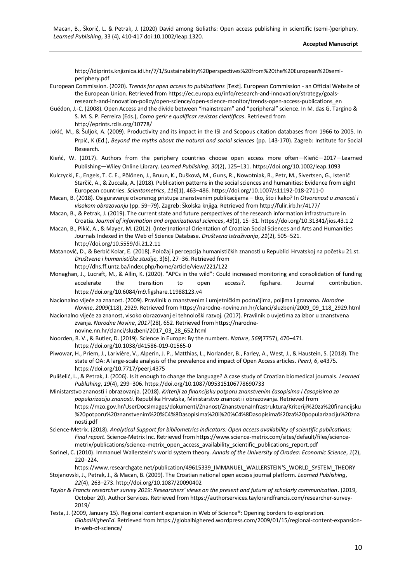http://idiprints.knjiznica.idi.hr/7/1/Sustainability%20perspectives%20from%20the%20European%20semiperiphery.pdf

- European Commission. (2020). *Trends for open access to publications* [Text]. European Commission an Official Website of the European Union. Retrieved from https://ec.europa.eu/info/research-and-innovation/strategy/goalsresearch-and-innovation-policy/open-science/open-science-monitor/trends-open-access-publications\_en
- Guédon, J.-C. (2008). Open Access and the divide between "mainstream" and "peripheral" science. In M. das G. Targino & S. M. S. P. Ferreira (Eds.), *Como gerir e qualificar revistas científicas*. Retrieved from http://eprints.rclis.org/10778/
- Jokić, M., & Šuljok, A. (2009). Productivity and its impact in the ISI and Scopous citation databases from 1966 to 2005. In Prpić, K (Ed.), *Beyond the myths about the natural and social sciences* (pp. 143-170). Zagreb: Institute for Social Research.
- Kieńć, W. (2017). Authors from the periphery countries choose open access more often—Kieńć—2017—Learned Publishing—Wiley Online Library. *Learned Publishing*, *30*(2), 125–131. https://doi.org/10.1002/leap.1093
- Kulczycki, E., Engels, T. C. E., Pölönen, J., Bruun, K., Dušková, M., Guns, R., Nowotniak, R., Petr, M., Sivertsen, G., Istenič Starčič, A., & Zuccala, A. (2018). Publication patterns in the social sciences and humanities: Evidence from eight European countries. *Scientometrics*, *116*(1), 463–486. https://doi.org/10.1007/s11192-018-2711-0
- Macan, B. (2018). Osiguravanje otvorenog pristupa znanstvenim publikacijama tko, što i kako? In *Otvorenost u znanosti i visokom obrazovanju* (pp. 59–79). Zagreb: Školska knjiga. Retrieved from http://fulir.irb.hr/4177/
- Macan, B., & Petrak, J. (2019). The current state and future perspectives of the research information infrastructure in Croatia. *Journal of information and organizational sciences*, *43*(1), 15–31. https://doi.org/10.31341/jios.43.1.2
- Macan, B., Pikić, A., & Mayer, M. (2012). (Inter)national Orientation of Croatian Social Sciences and Arts and Humanities Journals Indexed in the Web of Science Database. *Društvena Istraživanja*, *21*(2), 505–521. http://doi.org/10.5559/di.21.2.11
- Matanović, D., & Berbić Kolar, E. (2018). Položaj i percepcija humanističkih znanosti u Republici Hrvatskoj na početku 21.st. *Društvene i humanističke studije*, 3(6), 27–36. Retrieved from
	- http://dhs.ff.untz.ba/index.php/home/article/view/221/122
- Monaghan, J., Lucraft, M., & Allin, K. (2020). "APCs in the wild": Could increased monitoring and consolidation of funding accelerate the transition to open access?. figshare. Journal contribution. https://doi.org/10.6084/m9.figshare.11988123.v4
- Nacionalno vijeće za znanost. (2009). Pravilnik o znanstvenim i umjetničkim područjima, poljima i granama. *Narodne Novine*, *2009*(118), 2929. Retrieved from https://narodne-novine.nn.hr/clanci/sluzbeni/2009\_09\_118\_2929.html
- Nacionalno vijeće za znanost, visoko obrazovanj ei tehnološki razvoj. (2017). Pravilnik o uvjetima za izbor u znanstvena zvanja. *Narodne Novine*, *2017*(28), 652. Retrieved from https://narodnenovine.nn.hr/clanci/sluzbeni/2017\_03\_28\_652.html
- Noorden, R. V., & Butler, D. (2019). Science in Europe: By the numbers. *Nature*, *569*(7757), 470–471. https://doi.org/10.1038/d41586-019-01565-0
- Piwowar, H., Priem, J., Larivière, V., Alperin, J. P., Matthias, L., Norlander, B., Farley, A., West, J., & Haustein, S. (2018). The state of OA: A large-scale analysis of the prevalence and impact of Open Access articles. *PeerJ*, *6*, e4375. https://doi.org/10.7717/peerj.4375
- Pulišelić, L., & Petrak, J. (2006). Is it enough to change the language? A case study of Croatian biomedical journals. *Learned Publishing*, *19*(4), 299–306. https://doi.org/10.1087/095315106778690733
- Ministarstvo znanosti i obrazovanja. (2018). *Kriteriji za financijsku potporu znanstvenim časopisima i časopisima za popularizaciju znanosti.* Republika Hrvatska, Ministarstvo znanosti i obrazovanja. Retrieved from https://mzo.gov.hr/UserDocsImages/dokumenti/Znanost/ZnanstvenaInfrastruktura/Kriteriji%20za%20financijsku %20potporu%20znanstvenim%20%C4%8Dasopisima%20i%20%C4%8Dasopisima%20za%20popularizaciju%20zna nosti.pdf
- Science-Metrix. (2018). *Analytical Support for bibliometrics indicators: Open access availability of scientific publications: Final report*. Science-Metrix Inc. Retrieved from https://www.science-metrix.com/sites/default/files/sciencemetrix/publications/science-metrix\_open\_access\_availability\_scientific\_publications\_report.pdf
- Sorinel, C. (2010). Immanuel Wallerstein's world system theory. *Annals of the University of Oradea: Economic Science*, *1*(2), 220–224.

[https://www.researchgate.net/publication/49615339\\_IMMANUEL\\_WALLERSTEIN'S\\_WORLD\\_SYSTEM\\_THEORY](https://www.researchgate.net/publication/49615339_IMMANUEL_WALLERSTEIN)

- Stojanovski, J., Petrak, J., & Macan, B. (2009). The Croatian national open access journal platform. *Learned Publishing*, *22*(4), 263–273. http://doi.org/10.1087/20090402
- *Taylor & Francis researcher survey 2019: Researchers' views on the present and future of scholarly communication*. (2019, October 20). Author Services. Retrieved from https://authorservices.taylorandfrancis.com/researcher-survey-2019/
- Testa, J. (2009, January 15). Regional content expansion in Web of Science®: Opening borders to exploration. *GlobalHigherEd*. Retrieved from https://globalhighered.wordpress.com/2009/01/15/regional-content-expansionin-web-of-science/